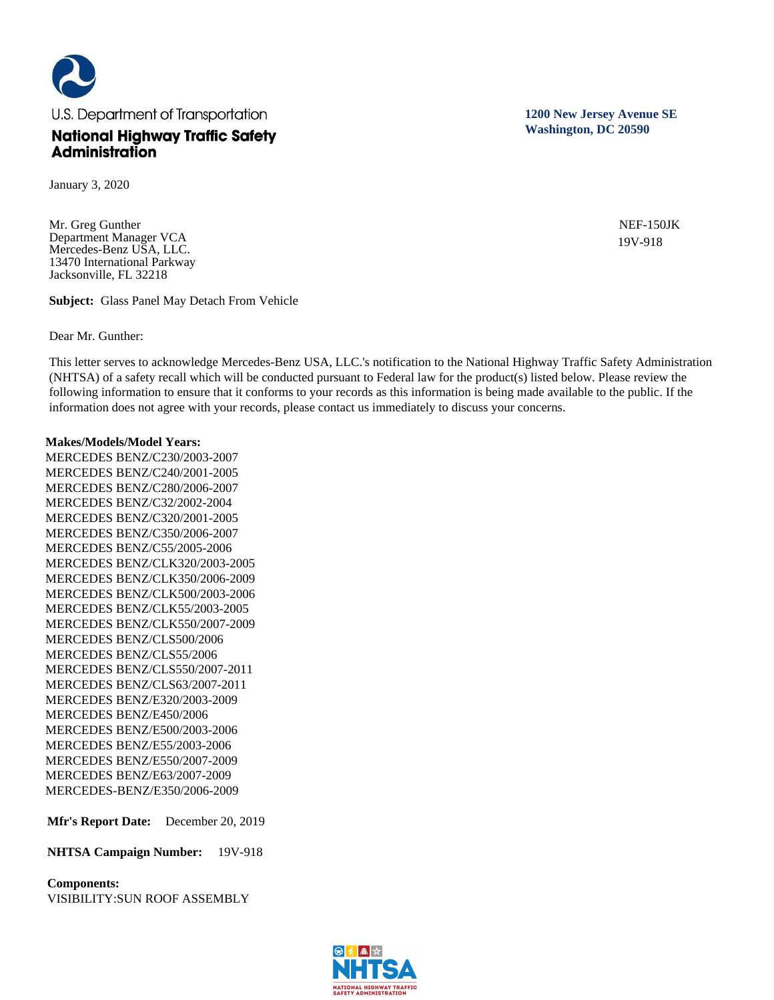

January 3, 2020

Mr. Greg Gunther Department Manager VCA Mercedes-Benz USA, LLC. 13470 International Parkway Jacksonville, FL 32218

**Subject:** Glass Panel May Detach From Vehicle

Dear Mr. Gunther:

This letter serves to acknowledge Mercedes-Benz USA, LLC.'s notification to the National Highway Traffic Safety Administration (NHTSA) of a safety recall which will be conducted pursuant to Federal law for the product(s) listed below. Please review the following information to ensure that it conforms to your records as this information is being made available to the public. If the information does not agree with your records, please contact us immediately to discuss your concerns.

### **Makes/Models/Model Years:**

MERCEDES BENZ/C230/2003-2007 MERCEDES BENZ/C240/2001-2005 MERCEDES BENZ/C280/2006-2007 MERCEDES BENZ/C32/2002-2004 MERCEDES BENZ/C320/2001-2005 MERCEDES BENZ/C350/2006-2007 MERCEDES BENZ/C55/2005-2006 MERCEDES BENZ/CLK320/2003-2005 MERCEDES BENZ/CLK350/2006-2009 MERCEDES BENZ/CLK500/2003-2006 MERCEDES BENZ/CLK55/2003-2005 MERCEDES BENZ/CLK550/2007-2009 MERCEDES BENZ/CLS500/2006 MERCEDES BENZ/CLS55/2006 MERCEDES BENZ/CLS550/2007-2011 MERCEDES BENZ/CLS63/2007-2011 MERCEDES BENZ/E320/2003-2009 MERCEDES BENZ/E450/2006 MERCEDES BENZ/E500/2003-2006 MERCEDES BENZ/E55/2003-2006 MERCEDES BENZ/E550/2007-2009 MERCEDES BENZ/E63/2007-2009 MERCEDES-BENZ/E350/2006-2009

**Mfr's Report Date:** December 20, 2019

**NHTSA Campaign Number:** 19V-918

**Components:** 

VISIBILITY:SUN ROOF ASSEMBLY



**1200 New Jersey Avenue SE Washington, DC 20590**

> NEF-150JK 19V-918